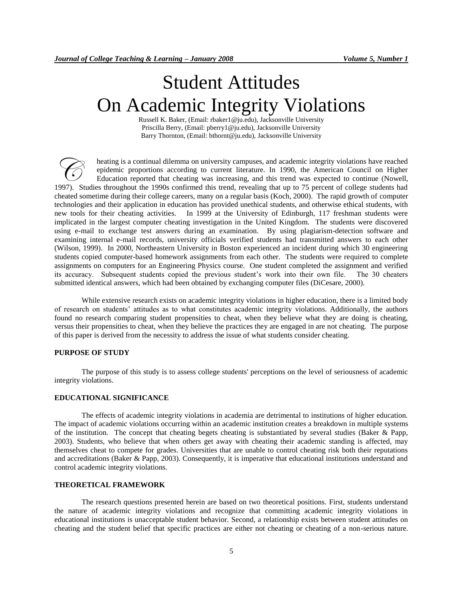# Student Attitudes On Academic Integrity Violations

Russell K. Baker, (Email: rbaker1@ju.edu), Jacksonville University Priscilla Berry, (Email: pberry1@ju.edu), Jacksonville University Barry Thornton, (Email: bthornt@ju.edu), Jacksonville University

heating is a continual dilemma on university campuses, and academic integrity violations have reached epidemic proportions according to current literature. In 1990, the American Council on Higher Education reported that cheating was increasing, and this trend was expected to continue (Nowell, heating is a continual dilemma on university campuses, and academic integrity violations have reached epidemic proportions according to current literature. In 1990, the American Council on Higher Education reported that ch cheated sometime during their college careers, many on a regular basis (Koch, 2000). The rapid growth of computer technologies and their application in education has provided unethical students, and otherwise ethical students, with new tools for their cheating activities. In 1999 at the University of Edinburgh, 117 freshman students were implicated in the largest computer cheating investigation in the United Kingdom. The students were discovered using e-mail to exchange test answers during an examination. By using plagiarism-detection software and examining internal e-mail records, university officials verified students had transmitted answers to each other (Wilson, 1999). In 2000, Northeastern University in Boston experienced an incident during which 30 engineering students copied computer-based homework assignments from each other. The students were required to complete assignments on computers for an Engineering Physics course. One student completed the assignment and verified its accuracy. Subsequent students copied the previous student's work into their own file. The 30 cheaters submitted identical answers, which had been obtained by exchanging computer files (DiCesare, 2000).

While extensive research exists on academic integrity violations in higher education, there is a limited body of research on students' attitudes as to what constitutes academic integrity violations. Additionally, the authors found no research comparing student propensities to cheat, when they believe what they are doing is cheating, versus their propensities to cheat, when they believe the practices they are engaged in are not cheating. The purpose of this paper is derived from the necessity to address the issue of what students consider cheating.

## **PURPOSE OF STUDY**

The purpose of this study is to assess college students' perceptions on the level of seriousness of academic integrity violations.

## **EDUCATIONAL SIGNIFICANCE**

The effects of academic integrity violations in academia are detrimental to institutions of higher education. The impact of academic violations occurring within an academic institution creates a breakdown in multiple systems of the institution. The concept that cheating begets cheating is substantiated by several studies (Baker & Papp, 2003). Students, who believe that when others get away with cheating their academic standing is affected, may themselves cheat to compete for grades. Universities that are unable to control cheating risk both their reputations and accreditations (Baker & Papp, 2003). Consequently, it is imperative that educational institutions understand and control academic integrity violations.

#### **THEORETICAL FRAMEWORK**

The research questions presented herein are based on two theoretical positions. First, students understand the nature of academic integrity violations and recognize that committing academic integrity violations in educational institutions is unacceptable student behavior. Second, a relationship exists between student attitudes on cheating and the student belief that specific practices are either not cheating or cheating of a non-serious nature.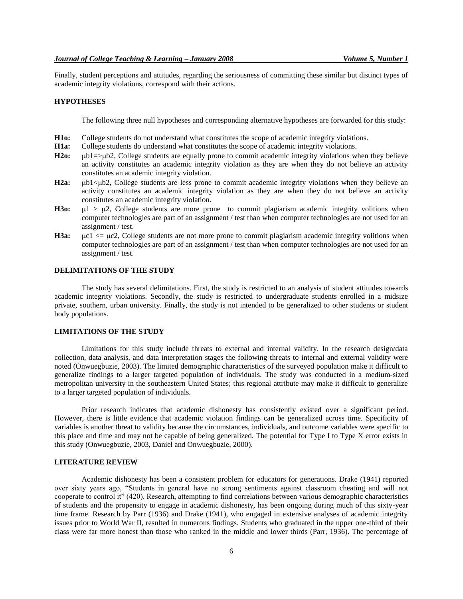Finally, student perceptions and attitudes, regarding the seriousness of committing these similar but distinct types of academic integrity violations, correspond with their actions.

#### **HYPOTHESES**

The following three null hypotheses and corresponding alternative hypotheses are forwarded for this study:

- **H1o:** College students do not understand what constitutes the scope of academic integrity violations.
- **H1a:** College students do understand what constitutes the scope of academic integrity violations.
- **H2o:** ub1=>ub2, College students are equally prone to commit academic integrity violations when they believe an activity constitutes an academic integrity violation as they are when they do not believe an activity constitutes an academic integrity violation.
- H2a: ub1<ub2, College students are less prone to commit academic integrity violations when they believe an activity constitutes an academic integrity violation as they are when they do not believe an activity constitutes an academic integrity violation.
- **H3o:**  $\mu$ 1 >  $\mu$ 2, College students are more prone to commit plagiarism academic integrity volitions when computer technologies are part of an assignment / test than when computer technologies are not used for an assignment / test.
- **H3a:**  $\mu$ c1  $\lt$ =  $\mu$ c2, College students are not more prone to commit plagiarism academic integrity volitions when computer technologies are part of an assignment / test than when computer technologies are not used for an assignment / test.

# **DELIMITATIONS OF THE STUDY**

The study has several delimitations. First, the study is restricted to an analysis of student attitudes towards academic integrity violations. Secondly, the study is restricted to undergraduate students enrolled in a midsize private, southern, urban university. Finally, the study is not intended to be generalized to other students or student body populations.

#### **LIMITATIONS OF THE STUDY**

Limitations for this study include threats to external and internal validity. In the research design/data collection, data analysis, and data interpretation stages the following threats to internal and external validity were noted (Onwuegbuzie, 2003). The limited demographic characteristics of the surveyed population make it difficult to generalize findings to a larger targeted population of individuals. The study was conducted in a medium-sized metropolitan university in the southeastern United States; this regional attribute may make it difficult to generalize to a larger targeted population of individuals.

Prior research indicates that academic dishonesty has consistently existed over a significant period. However, there is little evidence that academic violation findings can be generalized across time. Specificity of variables is another threat to validity because the circumstances, individuals, and outcome variables were specific to this place and time and may not be capable of being generalized. The potential for Type I to Type X error exists in this study (Onwuegbuzie, 2003, Daniel and Onwuegbuzie, 2000).

## **LITERATURE REVIEW**

Academic dishonesty has been a consistent problem for educators for generations. Drake (1941) reported over sixty years ago, "Students in general have no strong sentiments against classroom cheating and will not cooperate to control it" (420). Research, attempting to find correlations between various demographic characteristics of students and the propensity to engage in academic dishonesty, has been ongoing during much of this sixty-year time frame. Research by Parr (1936) and Drake (1941), who engaged in extensive analyses of academic integrity issues prior to World War II, resulted in numerous findings. Students who graduated in the upper one-third of their class were far more honest than those who ranked in the middle and lower thirds (Parr, 1936). The percentage of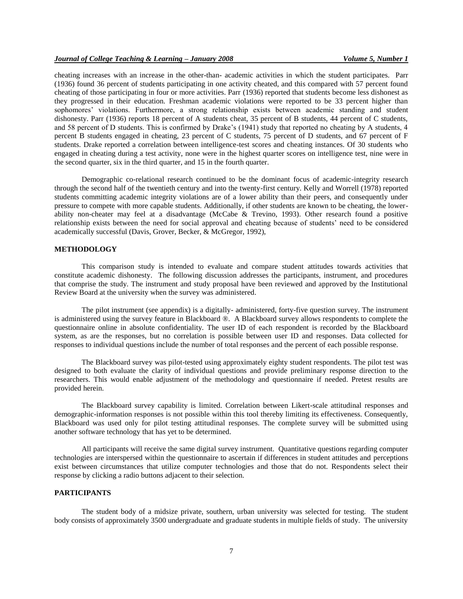cheating increases with an increase in the other-than- academic activities in which the student participates. Parr (1936) found 36 percent of students participating in one activity cheated, and this compared with 57 percent found cheating of those participating in four or more activities. Parr (1936) reported that students become less dishonest as they progressed in their education. Freshman academic violations were reported to be 33 percent higher than sophomores' violations. Furthermore, a strong relationship exists between academic standing and student dishonesty. Parr (1936) reports 18 percent of A students cheat, 35 percent of B students, 44 percent of C students, and 58 percent of D students. This is confirmed by Drake's (1941) study that reported no cheating by A students, 4 percent B students engaged in cheating, 23 percent of C students, 75 percent of D students, and 67 percent of F students. Drake reported a correlation between intelligence-test scores and cheating instances. Of 30 students who engaged in cheating during a test activity, none were in the highest quarter scores on intelligence test, nine were in the second quarter, six in the third quarter, and 15 in the fourth quarter.

Demographic co-relational research continued to be the dominant focus of academic-integrity research through the second half of the twentieth century and into the twenty-first century. Kelly and Worrell (1978) reported students committing academic integrity violations are of a lower ability than their peers, and consequently under pressure to compete with more capable students. Additionally, if other students are known to be cheating, the lowerability non-cheater may feel at a disadvantage (McCabe & Trevino, 1993). Other research found a positive relationship exists between the need for social approval and cheating because of students' need to be considered academically successful (Davis, Grover, Becker, & McGregor, 1992),

## **METHODOLOGY**

This comparison study is intended to evaluate and compare student attitudes towards activities that constitute academic dishonesty. The following discussion addresses the participants, instrument, and procedures that comprise the study. The instrument and study proposal have been reviewed and approved by the Institutional Review Board at the university when the survey was administered.

The pilot instrument (see appendix) is a digitally- administered, forty-five question survey. The instrument is administered using the survey feature in Blackboard ®. A Blackboard survey allows respondents to complete the questionnaire online in absolute confidentiality. The user ID of each respondent is recorded by the Blackboard system, as are the responses, but no correlation is possible between user ID and responses. Data collected for responses to individual questions include the number of total responses and the percent of each possible response.

The Blackboard survey was pilot-tested using approximately eighty student respondents. The pilot test was designed to both evaluate the clarity of individual questions and provide preliminary response direction to the researchers. This would enable adjustment of the methodology and questionnaire if needed. Pretest results are provided herein.

The Blackboard survey capability is limited. Correlation between Likert-scale attitudinal responses and demographic-information responses is not possible within this tool thereby limiting its effectiveness. Consequently, Blackboard was used only for pilot testing attitudinal responses. The complete survey will be submitted using another software technology that has yet to be determined.

All participants will receive the same digital survey instrument. Quantitative questions regarding computer technologies are interspersed within the questionnaire to ascertain if differences in student attitudes and perceptions exist between circumstances that utilize computer technologies and those that do not. Respondents select their response by clicking a radio buttons adjacent to their selection.

#### **PARTICIPANTS**

The student body of a midsize private, southern, urban university was selected for testing. The student body consists of approximately 3500 undergraduate and graduate students in multiple fields of study. The university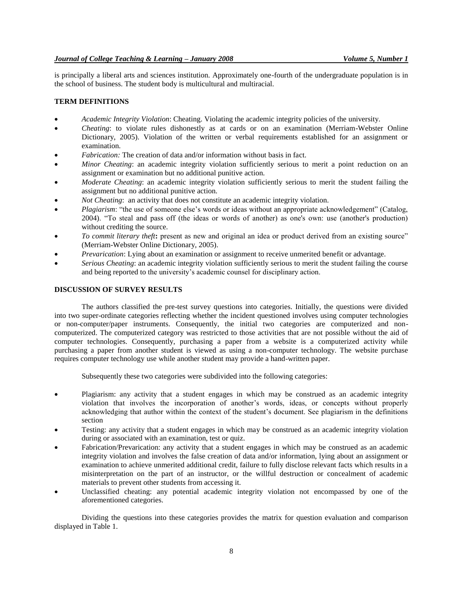is principally a liberal arts and sciences institution. Approximately one-fourth of the undergraduate population is in the school of business. The student body is multicultural and multiracial.

## **TERM DEFINITIONS**

- *Academic Integrity Violation*: Cheating. Violating the academic integrity policies of the university.
- *Cheating*: to violate rules dishonestly as at cards or on an examination (Merriam-Webster Online Dictionary, 2005). Violation of the written or verbal requirements established for an assignment or examination.
- *Fabrication:* The creation of data and/or information without basis in fact.
- *Minor Cheating*: an academic integrity violation sufficiently serious to merit a point reduction on an assignment or examination but no additional punitive action.
- *Moderate Cheating*: an academic integrity violation sufficiently serious to merit the student failing the assignment but no additional punitive action.
- *Not Cheating*: an activity that does not constitute an academic integrity violation.
- *Plagiarism*: "the use of someone else's words or ideas without an appropriate acknowledgement" (Catalog, 2004). "To steal and pass off (the ideas or words of another) as one's own: use (another's production) without crediting the source.
- *To commit literary theft***:** present as new and original an idea or product derived from an existing source" (Merriam-Webster Online Dictionary, 2005).
- *Prevarication*: Lying about an examination or assignment to receive unmerited benefit or advantage.
- *Serious Cheating*: an academic integrity violation sufficiently serious to merit the student failing the course and being reported to the university's academic counsel for disciplinary action.

#### **DISCUSSION OF SURVEY RESULTS**

The authors classified the pre-test survey questions into categories. Initially, the questions were divided into two super-ordinate categories reflecting whether the incident questioned involves using computer technologies or non-computer/paper instruments. Consequently, the initial two categories are computerized and noncomputerized. The computerized category was restricted to those activities that are not possible without the aid of computer technologies. Consequently, purchasing a paper from a website is a computerized activity while purchasing a paper from another student is viewed as using a non-computer technology. The website purchase requires computer technology use while another student may provide a hand-written paper.

Subsequently these two categories were subdivided into the following categories:

- Plagiarism: any activity that a student engages in which may be construed as an academic integrity violation that involves the incorporation of another's words, ideas, or concepts without properly acknowledging that author within the context of the student's document. See plagiarism in the definitions section
- Testing: any activity that a student engages in which may be construed as an academic integrity violation during or associated with an examination, test or quiz.
- Fabrication/Prevarication: any activity that a student engages in which may be construed as an academic integrity violation and involves the false creation of data and/or information, lying about an assignment or examination to achieve unmerited additional credit, failure to fully disclose relevant facts which results in a misinterpretation on the part of an instructor, or the willful destruction or concealment of academic materials to prevent other students from accessing it.
- Unclassified cheating: any potential academic integrity violation not encompassed by one of the aforementioned categories.

Dividing the questions into these categories provides the matrix for question evaluation and comparison displayed in Table 1.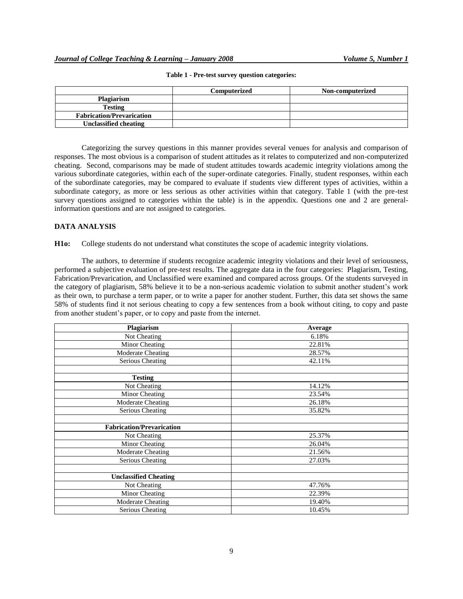|                                  | Computerized | Non-computerized |
|----------------------------------|--------------|------------------|
| <b>Plagiarism</b>                |              |                  |
| <b>Testing</b>                   |              |                  |
| <b>Fabrication/Prevarication</b> |              |                  |
| <b>Unclassified cheating</b>     |              |                  |

#### **Table 1 - Pre-test survey question categories:**

Categorizing the survey questions in this manner provides several venues for analysis and comparison of responses. The most obvious is a comparison of student attitudes as it relates to computerized and non-computerized cheating. Second, comparisons may be made of student attitudes towards academic integrity violations among the various subordinate categories, within each of the super-ordinate categories. Finally, student responses, within each of the subordinate categories, may be compared to evaluate if students view different types of activities, within a subordinate category, as more or less serious as other activities within that category. Table 1 (with the pre-test survey questions assigned to categories within the table) is in the appendix. Questions one and 2 are generalinformation questions and are not assigned to categories.

## **DATA ANALYSIS**

**H1o:** College students do not understand what constitutes the scope of academic integrity violations.

The authors, to determine if students recognize academic integrity violations and their level of seriousness, performed a subjective evaluation of pre-test results. The aggregate data in the four categories: Plagiarism, Testing, Fabrication/Prevarication, and Unclassified were examined and compared across groups. Of the students surveyed in the category of plagiarism, 58% believe it to be a non-serious academic violation to submit another student's work as their own, to purchase a term paper, or to write a paper for another student. Further, this data set shows the same 58% of students find it not serious cheating to copy a few sentences from a book without citing, to copy and paste from another student's paper, or to copy and paste from the internet.

| Plagiarism                       | Average |  |
|----------------------------------|---------|--|
| Not Cheating                     | 6.18%   |  |
| Minor Cheating                   | 22.81%  |  |
| Moderate Cheating                | 28.57%  |  |
| Serious Cheating                 | 42.11%  |  |
|                                  |         |  |
| <b>Testing</b>                   |         |  |
| Not Cheating                     | 14.12%  |  |
| Minor Cheating                   | 23.54%  |  |
| Moderate Cheating                | 26.18%  |  |
| Serious Cheating                 | 35.82%  |  |
|                                  |         |  |
| <b>Fabrication/Prevarication</b> |         |  |
| Not Cheating                     | 25.37%  |  |
| Minor Cheating                   | 26.04%  |  |
| Moderate Cheating                | 21.56%  |  |
| Serious Cheating                 | 27.03%  |  |
|                                  |         |  |
| <b>Unclassified Cheating</b>     |         |  |
| Not Cheating                     | 47.76%  |  |
| Minor Cheating                   | 22.39%  |  |
| Moderate Cheating                | 19.40%  |  |
| Serious Cheating                 | 10.45%  |  |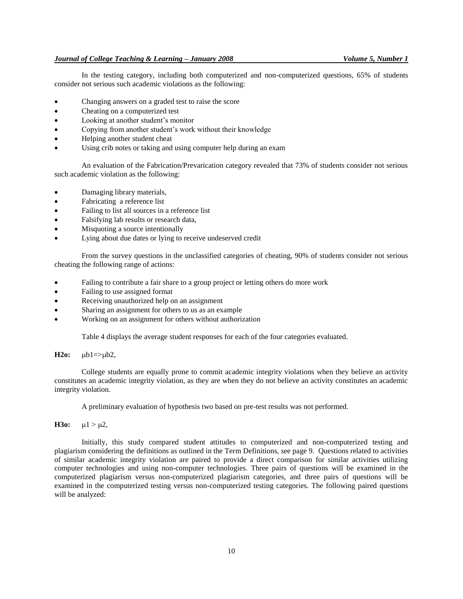In the testing category, including both computerized and non-computerized questions, 65% of students consider not serious such academic violations as the following:

- Changing answers on a graded test to raise the score
- Cheating on a computerized test
- Looking at another student's monitor
- Copying from another student's work without their knowledge
- Helping another student cheat
- Using crib notes or taking and using computer help during an exam

An evaluation of the Fabrication/Prevarication category revealed that 73% of students consider not serious such academic violation as the following:

- Damaging library materials,
- Fabricating a reference list
- Failing to list all sources in a reference list
- Falsifying lab results or research data,
- Misquoting a source intentionally
- Lying about due dates or lying to receive undeserved credit

From the survey questions in the unclassified categories of cheating, 90% of students consider not serious cheating the following range of actions:

- Failing to contribute a fair share to a group project or letting others do more work
- Failing to use assigned format
- Receiving unauthorized help on an assignment
- Sharing an assignment for others to us as an example
- Working on an assignment for others without authorization

Table 4 displays the average student responses for each of the four categories evaluated.

 $H2o:$   $\mu b1 = > \mu b2$ ,

College students are equally prone to commit academic integrity violations when they believe an activity constitutes an academic integrity violation, as they are when they do not believe an activity constitutes an academic integrity violation.

A preliminary evaluation of hypothesis two based on pre-test results was not performed.

**H3o:**  $\mu$ 1 >  $\mu$ 2,

Initially, this study compared student attitudes to computerized and non-computerized testing and plagiarism considering the definitions as outlined in the Term Definitions, see page 9. Questions related to activities of similar academic integrity violation are paired to provide a direct comparison for similar activities utilizing computer technologies and using non-computer technologies. Three pairs of questions will be examined in the computerized plagiarism versus non-computerized plagiarism categories, and three pairs of questions will be examined in the computerized testing versus non-computerized testing categories. The following paired questions will be analyzed: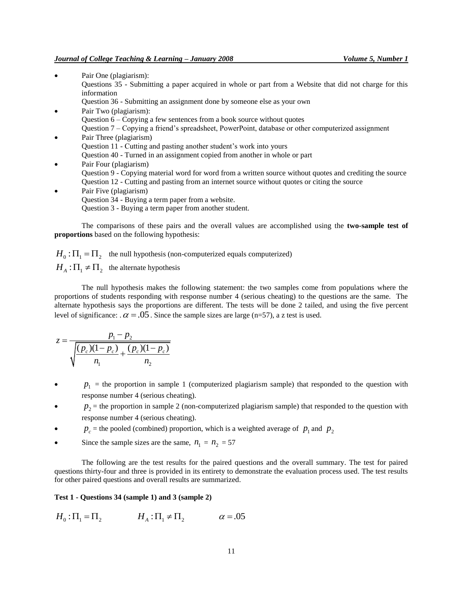- Pair One (plagiarism): Questions 35 - Submitting a paper acquired in whole or part from a Website that did not charge for this information
	- Question 36 Submitting an assignment done by someone else as your own
- Pair Two (plagiarism): Question 6 – Copying a few sentences from a book source without quotes Question 7 – Copying a friend's spreadsheet, PowerPoint, database or other computerized assignment
- Pair Three (plagiarism) Question 11 - Cutting and pasting another student's work into yours Question 40 - Turned in an assignment copied from another in whole or part
- Pair Four (plagiarism)
- Question 9 Copying material word for word from a written source without quotes and crediting the source Question 12 - Cutting and pasting from an internet source without quotes or citing the source
- Pair Five (plagiarism) Question 34 - Buying a term paper from a website. Question 3 - Buying a term paper from another student.

The comparisons of these pairs and the overall values are accomplished using the **two-sample test of proportions** based on the following hypothesis:

 $H_0: \Pi_1 = \Pi_2$  the null hypothesis (non-computerized equals computerized)  $H_A: \Pi_1 \neq \Pi_2$  the alternate hypothesis

The null hypothesis makes the following statement: the two samples come from populations where the proportions of students responding with response number 4 (serious cheating) to the questions are the same. The alternate hypothesis says the proportions are different. The tests will be done 2 tailed, and using the five percent level of significance:  $\alpha = .05$ . Since the sample sizes are large (n=57), a z test is used.

$$
z = \frac{p_1 - p_2}{\sqrt{\frac{(p_c)(1 - p_c)}{n_1} + \frac{(p_c)(1 - p_c)}{n_2}}}
$$

- $\bullet$   $p_1$  = the proportion in sample 1 (computerized plagiarism sample) that responded to the question with response number 4 (serious cheating).
- $\bullet$   $p_2$  = the proportion in sample 2 (non-computerized plagiarism sample) that responded to the question with response number 4 (serious cheating).
- $p_c$  = the pooled (combined) proportion, which is a weighted average of  $p_1$  and  $p_2$
- Since the sample sizes are the same,  $n_1 = n_2 = 57$

The following are the test results for the paired questions and the overall summary. The test for paired questions thirty-four and three is provided in its entirety to demonstrate the evaluation process used. The test results for other paired questions and overall results are summarized.

#### **Test 1 - Questions 34 (sample 1) and 3 (sample 2)**

$$
H_0: \Pi_1 = \Pi_2
$$
  $H_A: \Pi_1 \neq \Pi_2$   $\alpha = .05$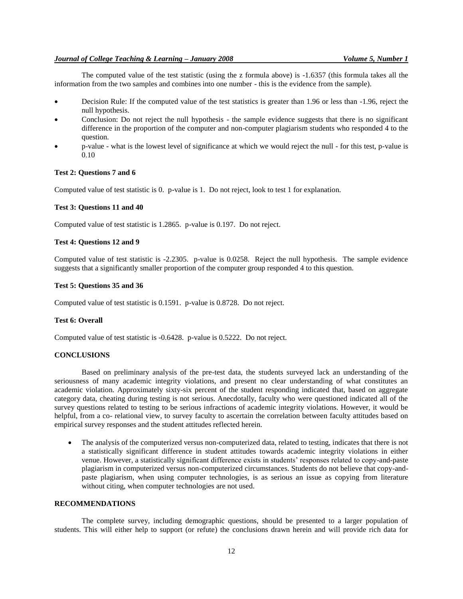The computed value of the test statistic (using the z formula above) is -1.6357 (this formula takes all the information from the two samples and combines into one number - this is the evidence from the sample).

- Decision Rule: If the computed value of the test statistics is greater than 1.96 or less than -1.96, reject the null hypothesis.
- Conclusion: Do not reject the null hypothesis the sample evidence suggests that there is no significant difference in the proportion of the computer and non-computer plagiarism students who responded 4 to the question.
- p-value what is the lowest level of significance at which we would reject the null for this test, p-value is 0.10

## **Test 2: Questions 7 and 6**

Computed value of test statistic is 0. p-value is 1. Do not reject, look to test 1 for explanation.

## **Test 3: Questions 11 and 40**

Computed value of test statistic is 1.2865. p-value is 0.197. Do not reject.

## **Test 4: Questions 12 and 9**

Computed value of test statistic is -2.2305. p-value is 0.0258. Reject the null hypothesis. The sample evidence suggests that a significantly smaller proportion of the computer group responded 4 to this question.

#### **Test 5: Questions 35 and 36**

Computed value of test statistic is 0.1591. p-value is 0.8728. Do not reject.

## **Test 6: Overall**

Computed value of test statistic is -0.6428. p-value is 0.5222. Do not reject.

#### **CONCLUSIONS**

Based on preliminary analysis of the pre-test data, the students surveyed lack an understanding of the seriousness of many academic integrity violations, and present no clear understanding of what constitutes an academic violation. Approximately sixty-six percent of the student responding indicated that, based on aggregate category data, cheating during testing is not serious. Anecdotally, faculty who were questioned indicated all of the survey questions related to testing to be serious infractions of academic integrity violations. However, it would be helpful, from a co- relational view, to survey faculty to ascertain the correlation between faculty attitudes based on empirical survey responses and the student attitudes reflected herein.

 The analysis of the computerized versus non-computerized data, related to testing, indicates that there is not a statistically significant difference in student attitudes towards academic integrity violations in either venue. However, a statistically significant difference exists in students' responses related to copy-and-paste plagiarism in computerized versus non-computerized circumstances. Students do not believe that copy-andpaste plagiarism, when using computer technologies, is as serious an issue as copying from literature without citing, when computer technologies are not used.

## **RECOMMENDATIONS**

The complete survey, including demographic questions, should be presented to a larger population of students. This will either help to support (or refute) the conclusions drawn herein and will provide rich data for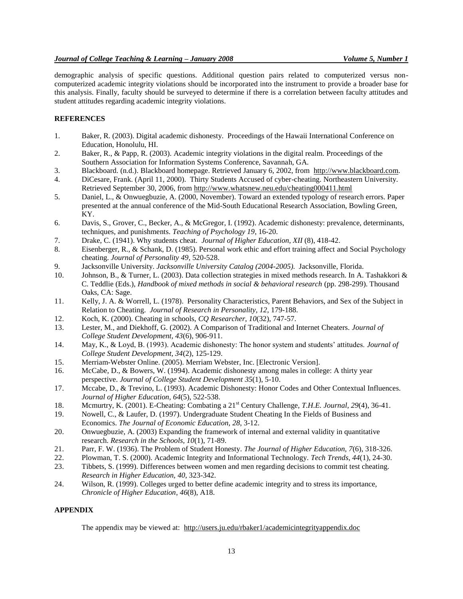demographic analysis of specific questions. Additional question pairs related to computerized versus noncomputerized academic integrity violations should be incorporated into the instrument to provide a broader base for this analysis. Finally, faculty should be surveyed to determine if there is a correlation between faculty attitudes and student attitudes regarding academic integrity violations.

## **REFERENCES**

- 1. Baker, R. (2003). Digital academic dishonesty. Proceedings of the Hawaii International Conference on Education, Honolulu, HI.
- 2. Baker, R., & Papp, R. (2003). Academic integrity violations in the digital realm. Proceedings of the Southern Association for Information Systems Conference, Savannah, GA.
- 3. Blackboard. (n.d.). Blackboard homepage. Retrieved January 6, 2002, from [http://www.blackboard.com.](http://www.blackboard.com/)
- 4. DiCesare, Frank. (April 11, 2000). Thirty Students Accused of cyber-cheating. Northeastern University. Retrieved September 30, 2006, fro[m http://www.whatsnew.neu.edu/cheating000411.html](http://www.whatsnew.neu.edu/cheating000411.html)
- 5. Daniel, L., & Onwuegbuzie, A. (2000, November). Toward an extended typology of research errors. Paper presented at the annual conference of the Mid-South Educational Research Association, Bowling Green, KY.
- 6. Davis, S., Grover, C., Becker, A., & McGregor, I. (1992). Academic dishonesty: prevalence, determinants, techniques, and punishments. *Teaching of Psychology 19*, 16-20.
- 7. Drake, C. (1941). Why students cheat*. Journal of Higher Education*, *XII* (8), 418-42.
- 8. Eisenberger, R., & Schank, D. (1985). Personal work ethic and effort training affect and Social Psychology cheating. *Journal of Personality 49*, 520-528.
- 9. Jacksonville University. *Jacksonville University Catalog (2004-2005).* Jacksonville, Florida.
- 10. Johnson, B., & Turner, L. (2003). Data collection strategies in mixed methods research. In A. Tashakkori & C. Teddlie (Eds.), *Handbook of mixed methods in social & behavioral research* (pp. 298-299). Thousand Oaks, CA: Sage.
- 11. Kelly, J. A. & Worrell, L. (1978). Personality Characteristics, Parent Behaviors, and Sex of the Subject in Relation to Cheating. *Journal of Research in Personality, 12*, 179-188.
- 12. Koch, K. (2000). Cheating in schools, *CQ Researcher*, *10*(32), 747-57.
- 13. Lester, M., and Diekhoff, G. (2002). A Comparison of Traditional and Internet Cheaters. *Journal of College Student Development, 43*(6), 906-911.
- 14. May, K., & Loyd, B. (1993). Academic dishonesty: The honor system and students' attitudes. *Journal of College Student Development, 34*(2), 125-129.
- 15. Merriam-Webster Online. (2005). Merriam Webster, Inc. [Electronic Version].
- 16. McCabe, D., & Bowers, W. (1994). Academic dishonesty among males in college: A thirty year perspective. *Journal of College Student Development 35*(1), 5-10.
- 17. Mccabe, D., & Trevino, L. (1993). Academic Dishonesty: Honor Codes and Other Contextual Influences. *Journal of Higher Education, 64*(5), 522-538.
- 18. Mcmurtry, K. (2001). E-Cheating: Combating a 21<sup>st</sup> Century Challenge, *T.H.E. Journal*, 29(4), 36-41.
- 19. Nowell, C., & Laufer, D. (1997). Undergraduate Student Cheating In the Fields of Business and Economics. *The Journal of Economic Education, 28*, 3-12.
- 20. Onwuegbuzie, A. (2003) Expanding the framework of internal and external validity in quantitative research. *Research in the Schools, 10*(1), 71-89.
- 21. Parr, F. W. (1936). The Problem of Student Honesty. *The Journal of Higher Education, 7*(6), 318-326.
- 22. Plowman, T. S. (2000). Academic Integrity and Informational Technology. *Tech Trends*, *44*(1), 24-30.
- 23. Tibbets, S. (1999). Differences between women and men regarding decisions to commit test cheating. *Research in Higher Education, 40*, 323-342.
- 24. Wilson, R. (1999). Colleges urged to better define academic integrity and to stress its importance, *Chronicle of Higher Education*, *46*(8), A18.

## **APPENDIX**

The appendix may be viewed at: <http://users.ju.edu/rbaker1/academicintegrityappendix.doc>